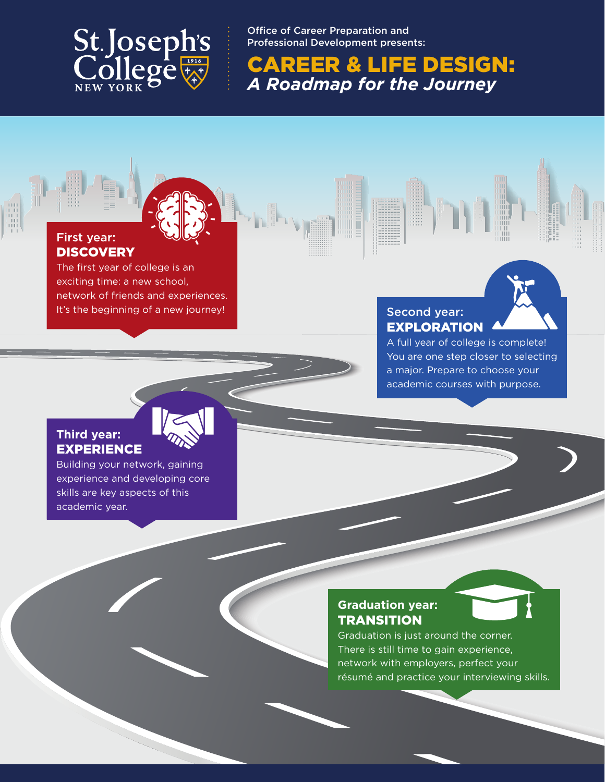

Office of Career Preparation and Professional Development presents:

CAREER & LIFE DESIGN: *A Roadmap for the Journey*

#### First year: **DISCOVERY**

The first year of college is an exciting time: a new school, network of friends and experiences. It's the beginning of a new journey!

# EXPLORATION

A full year of college is complete! You are one step closer to selecting a major. Prepare to choose your academic courses with purpose.

#### **Third year:** EXPERIENCE

Building your network, gaining experience and developing core skills are key aspects of this academic year.

### **Graduation year: TRANSITION**



Graduation is just around the corner. There is still time to gain experience, network with employers, perfect your résumé and practice your interviewing skills.